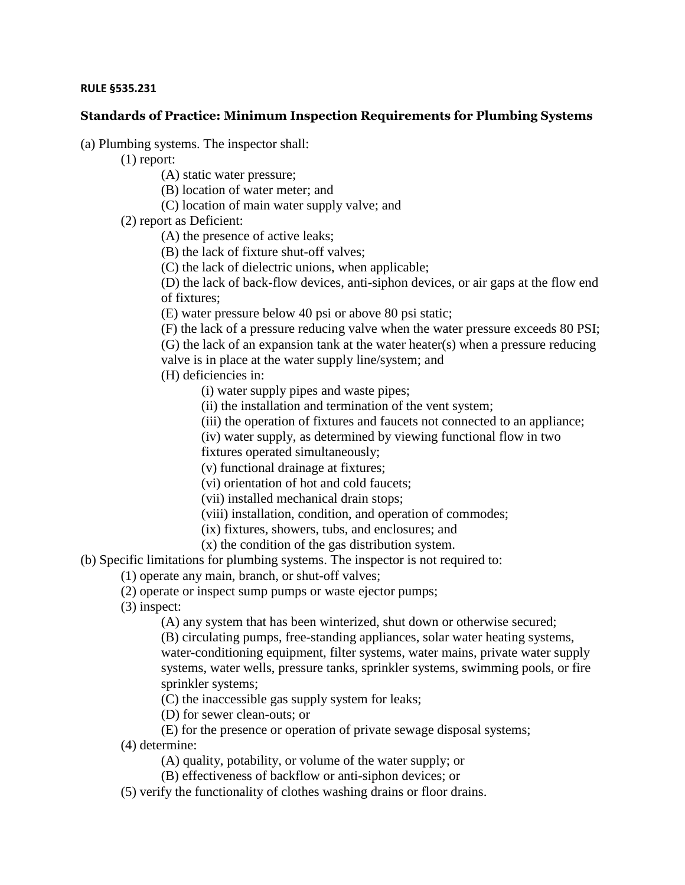## **RULE §535.231**

## **Standards of Practice: Minimum Inspection Requirements for Plumbing Systems**

(a) Plumbing systems. The inspector shall:

(1) report:

(A) static water pressure;

(B) location of water meter; and

(C) location of main water supply valve; and

(2) report as Deficient:

(A) the presence of active leaks;

(B) the lack of fixture shut-off valves;

(C) the lack of dielectric unions, when applicable;

(D) the lack of back-flow devices, anti-siphon devices, or air gaps at the flow end of fixtures;

(E) water pressure below 40 psi or above 80 psi static;

(F) the lack of a pressure reducing valve when the water pressure exceeds 80 PSI;

(G) the lack of an expansion tank at the water heater(s) when a pressure reducing valve is in place at the water supply line/system; and

(H) deficiencies in:

(i) water supply pipes and waste pipes;

(ii) the installation and termination of the vent system;

(iii) the operation of fixtures and faucets not connected to an appliance;

(iv) water supply, as determined by viewing functional flow in two

fixtures operated simultaneously;

(v) functional drainage at fixtures;

(vi) orientation of hot and cold faucets;

(vii) installed mechanical drain stops;

(viii) installation, condition, and operation of commodes;

(ix) fixtures, showers, tubs, and enclosures; and

(x) the condition of the gas distribution system.

(b) Specific limitations for plumbing systems. The inspector is not required to:

(1) operate any main, branch, or shut-off valves;

(2) operate or inspect sump pumps or waste ejector pumps;

(3) inspect:

(A) any system that has been winterized, shut down or otherwise secured;

(B) circulating pumps, free-standing appliances, solar water heating systems, water-conditioning equipment, filter systems, water mains, private water supply systems, water wells, pressure tanks, sprinkler systems, swimming pools, or fire sprinkler systems;

(C) the inaccessible gas supply system for leaks;

(D) for sewer clean-outs; or

(E) for the presence or operation of private sewage disposal systems;

(4) determine:

(A) quality, potability, or volume of the water supply; or

(B) effectiveness of backflow or anti-siphon devices; or

(5) verify the functionality of clothes washing drains or floor drains.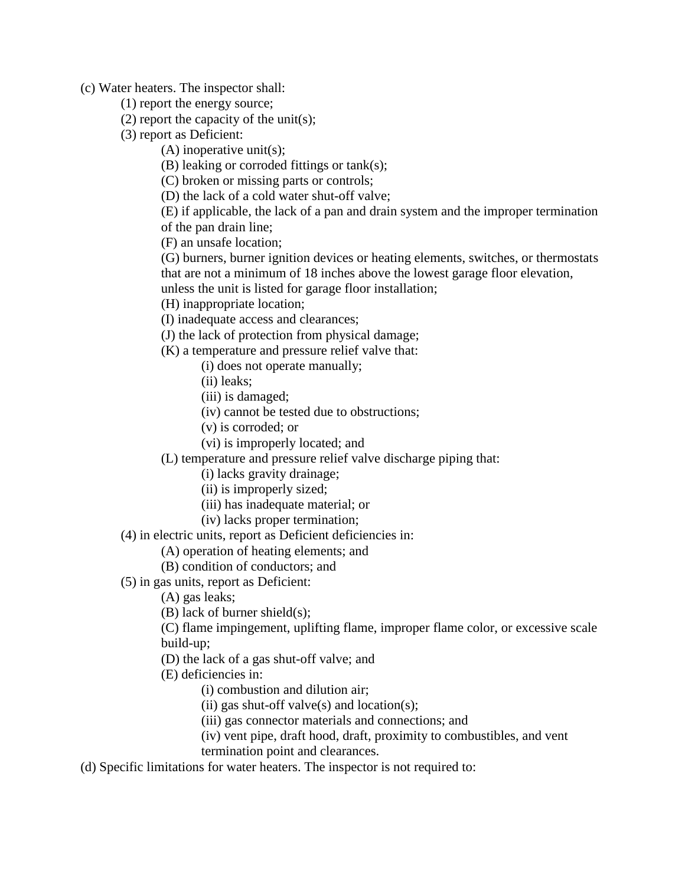(c) Water heaters. The inspector shall:

- (1) report the energy source;
- (2) report the capacity of the unit(s);
- (3) report as Deficient:
	- (A) inoperative unit(s);
	- (B) leaking or corroded fittings or tank(s);
	- (C) broken or missing parts or controls;
	- (D) the lack of a cold water shut-off valve;

(E) if applicable, the lack of a pan and drain system and the improper termination of the pan drain line;

(F) an unsafe location;

- (G) burners, burner ignition devices or heating elements, switches, or thermostats that are not a minimum of 18 inches above the lowest garage floor elevation, unless the unit is listed for garage floor installation;
- (H) inappropriate location;
- (I) inadequate access and clearances;
- (J) the lack of protection from physical damage;
- (K) a temperature and pressure relief valve that:
	- (i) does not operate manually;
	- (ii) leaks;
	- (iii) is damaged;
	- (iv) cannot be tested due to obstructions;
	- (v) is corroded; or
	- (vi) is improperly located; and
- (L) temperature and pressure relief valve discharge piping that:
	- (i) lacks gravity drainage;
	- (ii) is improperly sized;
	- (iii) has inadequate material; or
	- (iv) lacks proper termination;
- (4) in electric units, report as Deficient deficiencies in:
	- (A) operation of heating elements; and
	- (B) condition of conductors; and
- (5) in gas units, report as Deficient:
	- (A) gas leaks;
	- (B) lack of burner shield(s);
	- (C) flame impingement, uplifting flame, improper flame color, or excessive scale build-up;
	- (D) the lack of a gas shut-off valve; and
	- (E) deficiencies in:
		- (i) combustion and dilution air;
		- (ii) gas shut-off valve $(s)$  and location $(s)$ ;
		- (iii) gas connector materials and connections; and
		- (iv) vent pipe, draft hood, draft, proximity to combustibles, and vent
		- termination point and clearances.
- (d) Specific limitations for water heaters. The inspector is not required to: